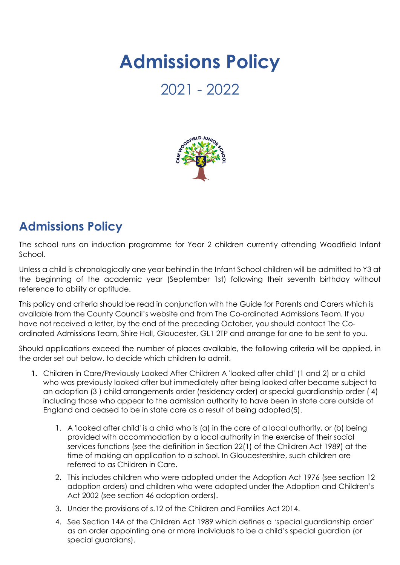## **Admissions Policy**

## 2021 - 2022



## **Admissions Policy**

The school runs an induction programme for Year 2 children currently attending Woodfield Infant School.

Unless a child is chronologically one year behind in the Infant School children will be admitted to Y3 at the beginning of the academic year (September 1st) following their seventh birthday without reference to ability or aptitude.

This policy and criteria should be read in conjunction with the Guide for Parents and Carers which is available from the County Council's website and from The Co-ordinated Admissions Team. If you have not received a letter, by the end of the preceding October, you should contact The Coordinated Admissions Team, Shire Hall, Gloucester, GL1 2TP and arrange for one to be sent to you.

Should applications exceed the number of places available, the following criteria will be applied, in the order set out below, to decide which children to admit.

- **1.** Children in Care/Previously Looked After Children A 'looked after child' (1 and 2) or a child who was previously looked after but immediately after being looked after became subject to an adoption (3 ) child arrangements order (residency order) or special guardianship order ( 4) including those who appear to the admission authority to have been in state care outside of England and ceased to be in state care as a result of being adopted(5).
	- 1. A 'looked after child' is a child who is (a) in the care of a local authority, or (b) being provided with accommodation by a local authority in the exercise of their social services functions (see the definition in Section 22(1) of the Children Act 1989) at the time of making an application to a school. In Gloucestershire, such children are referred to as Children in Care.
	- 2. This includes children who were adopted under the Adoption Act 1976 (see section 12 adoption orders) and children who were adopted under the Adoption and Children's Act 2002 (see section 46 adoption orders).
	- 3. Under the provisions of s.12 of the Children and Families Act 2014.
	- 4. See Section 14A of the Children Act 1989 which defines a 'special guardianship order' as an order appointing one or more individuals to be a child's special guardian (or special guardians).